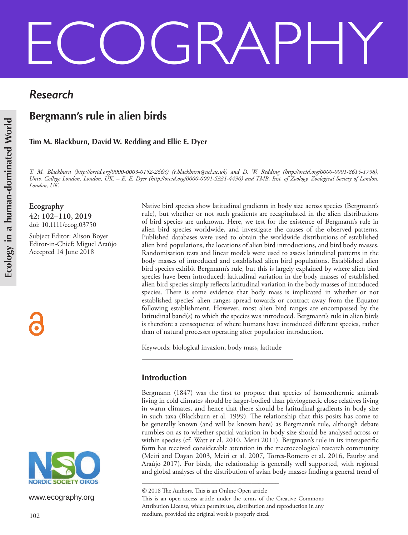# ECOGRAPHY

*Research*

# **Bergmann's rule in alien birds**

### **Tim M. Blackburn, David W. Redding and Ellie E. Dyer**

*T. M. Blackburn (http://orcid.org/0000-0003-0152-2663) (t.blackburn@ucl.ac.uk) and D. W. Redding (http://orcid.org/0000-0001-8615-1798), Univ. College London, London, UK. – E. E. Dyer (http://orcid.org/0000-0001-5331-4490) and TMB, Inst. of Zoology, Zoological Society of London, London, UK.*

**Ecography 42: 102–110, 2019** doi: 10.1111/ecog.03750

Subject Editor: Alison Boyer Editor-in-Chief: Miguel Araújo Accepted 14 June 2018



www.ecography.org

Native bird species show latitudinal gradients in body size across species (Bergmann's rule), but whether or not such gradients are recapitulated in the alien distributions of bird species are unknown. Here, we test for the existence of Bergmann's rule in alien bird species worldwide, and investigate the causes of the observed patterns. Published databases were used to obtain the worldwide distributions of established alien bird populations, the locations of alien bird introductions, and bird body masses. Randomisation tests and linear models were used to assess latitudinal patterns in the body masses of introduced and established alien bird populations. Established alien bird species exhibit Bergmann's rule, but this is largely explained by where alien bird species have been introduced: latitudinal variation in the body masses of established alien bird species simply reflects latitudinal variation in the body masses of introduced species. There is some evidence that body mass is implicated in whether or not established species' alien ranges spread towards or contract away from the Equator following establishment. However, most alien bird ranges are encompassed by the latitudinal band(s) to which the species was introduced. Bergmann's rule in alien birds is therefore a consequence of where humans have introduced different species, rather than of natural processes operating after population introduction.

Keywords: biological invasion, body mass, latitude

## **Introduction**

Bergmann (1847) was the first to propose that species of homeothermic animals living in cold climates should be larger-bodied than phylogenetic close relatives living in warm climates, and hence that there should be latitudinal gradients in body size in such taxa (Blackburn et al. 1999). The relationship that this posits has come to be generally known (and will be known here) as Bergmann's rule, although debate rumbles on as to whether spatial variation in body size should be analysed across or within species (cf. Watt et al. 2010, Meiri 2011). Bergmann's rule in its interspecific form has received considerable attention in the macroecological research community (Meiri and Dayan 2003, Meiri et al. 2007, Torres-Romero et al. 2016, Faurby and Araújo 2017). For birds, the relationship is generally well supported, with regional and global analyses of the distribution of avian body masses finding a general trend of

<sup>––––––––––––––––––––––––––––––––––––––––</sup> © 2018 The Authors. This is an Online Open article This is an open access article under the terms of the Creative Commons Attribution License, which permits use, distribution and reproduction in any medium, provided the original work is properly cited.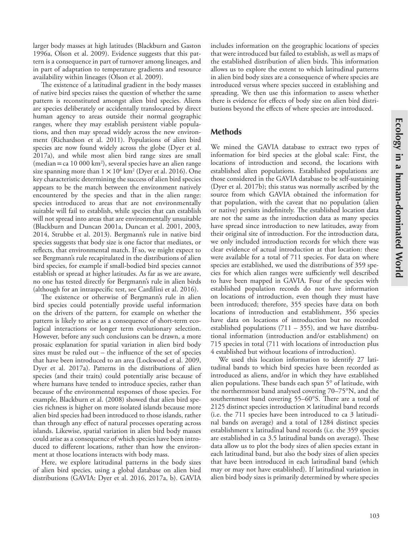larger body masses at high latitudes (Blackburn and Gaston 1996a, Olson et al. 2009). Evidence suggests that this pattern is a consequence in part of turnover among lineages, and in part of adaptation to temperature gradients and resource availability within lineages (Olson et al. 2009).

The existence of a latitudinal gradient in the body masses of native bird species raises the question of whether the same pattern is reconstituted amongst alien bird species. Aliens are species deliberately or accidentally translocated by direct human agency to areas outside their normal geographic ranges, where they may establish persistent viable populations, and then may spread widely across the new environment (Richardson et al. 2011). Populations of alien bird species are now found widely across the globe (Dyer et al. 2017a), and while most alien bird range sizes are small  $(\text{median} = \text{ca } 10\ 000 \text{ km}^2)$ , several species have an alien range size spanning more than  $1 \times 10^6$  km<sup>2</sup> (Dyer et al. 2016). One key characteristic determining the success of alien bird species appears to be the match between the environment natively encountered by the species and that in the alien range: species introduced to areas that are not environmentally suitable will fail to establish, while species that can establish will not spread into areas that are environmentally unsuitable (Blackburn and Duncan 2001a, Duncan et al. 2001, 2003, 2014, Strubbe et al. 2013). Bergmann's rule in native bird species suggests that body size is one factor that mediates, or reflects, that environmental match. If so, we might expect to see Bergmann's rule recapitulated in the distributions of alien bird species, for example if small-bodied bird species cannot establish or spread at higher latitudes. As far as we are aware, no one has tested directly for Bergmann's rule in alien birds (although for an intraspecific test, see Cardilini et al. 2016).

The existence or otherwise of Bergmann's rule in alien bird species could potentially provide useful information on the drivers of the pattern, for example on whether the pattern is likely to arise as a consequence of short-term ecological interactions or longer term evolutionary selection. However, before any such conclusions can be drawn, a more prosaic explanation for spatial variation in alien bird body sizes must be ruled out – the influence of the set of species that have been introduced to an area (Lockwood et al. 2009, Dyer et al. 2017a). Patterns in the distributions of alien species (and their traits) could potentially arise because of where humans have tended to introduce species, rather than because of the environmental responses of those species. For example, Blackburn et al. (2008) showed that alien bird species richness is higher on more isolated islands because more alien bird species had been introduced to those islands, rather than through any effect of natural processes operating across islands. Likewise, spatial variation in alien bird body masses could arise as a consequence of which species have been introduced to different locations, rather than how the environment at those locations interacts with body mass.

Here, we explore latitudinal patterns in the body sizes of alien bird species, using a global database on alien bird distributions (GAVIA: Dyer et al. 2016, 2017a, b). GAVIA includes information on the geographic locations of species that were introduced but failed to establish, as well as maps of the established distribution of alien birds. This information allows us to explore the extent to which latitudinal patterns in alien bird body sizes are a consequence of where species are introduced versus where species succeed in establishing and spreading. We then use this information to assess whether there is evidence for effects of body size on alien bird distributions beyond the effects of where species are introduced.

#### **Methods**

We mined the GAVIA database to extract two types of information for bird species at the global scale: First, the locations of introduction and second, the locations with established alien populations. Established populations are those considered in the GAVIA database to be self-sustaining (Dyer et al. 2017b); this status was normally ascribed by the source from which GAVIA obtained the information for that population, with the caveat that no population (alien or native) persists indefinitely. The established location data are not the same as the introduction data as many species have spread since introduction to new latitudes, away from their original site of introduction. For the introduction data, we only included introduction records for which there was clear evidence of actual introduction at that location: these were available for a total of 711 species. For data on where species are established, we used the distributions of 359 species for which alien ranges were sufficiently well described to have been mapped in GAVIA. Four of the species with established population records do not have information on locations of introduction, even though they must have been introduced; therefore, 355 species have data on both locations of introduction and establishment, 356 species have data on locations of introduction but no recorded established populations  $(711 – 355)$ , and we have distributional information (introduction and/or establishment) on 715 species in total (711 with locations of introduction plus 4 established but without locations of introduction).

We used this location information to identify 27 latitudinal bands to which bird species have been recorded as introduced as aliens, and/or in which they have established alien populations. These bands each span 5° of latitude, with the northernmost band analysed covering 70–75°N, and the southernmost band covering 55–60°S. There are a total of 2125 distinct species introduction  $\times$  latitudinal band records (i.e. the 711 species have been introduced to ca 3 latitudinal bands on average) and a total of 1284 distinct species establishment x latitudinal band records (i.e. the 359 species are established in ca 3.5 latitudinal bands on average). These data allow us to plot the body sizes of alien species extant in each latitudinal band, but also the body sizes of alien species that have been introduced in each latitudinal band (which may or may not have established). If latitudinal variation in alien bird body sizes is primarily determined by where species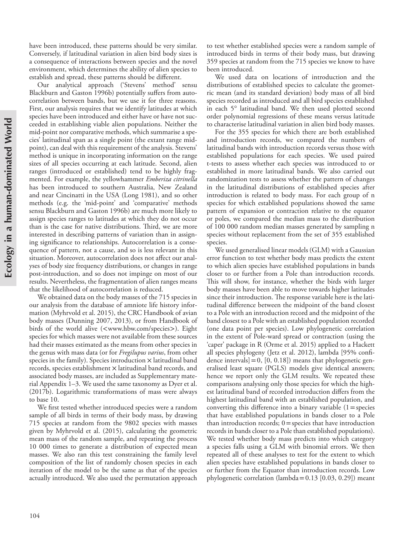have been introduced, these patterns should be very similar. Conversely, if latitudinal variation in alien bird body sizes is a consequence of interactions between species and the novel environment, which determines the ability of alien species to establish and spread, these patterns should be different.

Our analytical approach ('Stevens' method' sensu Blackburn and Gaston 1996b) potentially suffers from autocorrelation between bands, but we use it for three reasons. First, our analysis requires that we identify latitudes at which species have been introduced and either have or have not succeeded in establishing viable alien populations. Neither the mid-point nor comparative methods, which summarise a species' latitudinal span as a single point (the extant range midpoint), can deal with this requirement of the analysis. Stevens' method is unique in incorporating information on the range sizes of all species occurring at each latitude. Second, alien ranges (introduced or established) tend to be highly fragmented. For example, the yellowhammer *Emberiza citrinella* has been introduced to southern Australia, New Zealand and near Cincinatti in the USA (Long 1981), and so other methods (e.g. the 'mid-point' and 'comparative' methods sensu Blackburn and Gaston 1996b) are much more likely to assign species ranges to latitudes at which they do not occur than is the case for native distributions. Third, we are more interested in describing patterns of variation than in assigning significance to relationships. Autocorrelation is a consequence of pattern, not a cause, and so is less relevant in this situation. Moreover, autocorrelation does not affect our analyses of body size frequency distributions, or changes in range post-introduction, and so does not impinge on most of our results. Nevertheless, the fragmentation of alien ranges means that the likelihood of autocorrelation is reduced.

We obtained data on the body masses of the 715 species in our analysis from the database of amniote life history information (Myhrvold et al. 2015), the CRC Handbook of avian body masses (Dunning 2007, 2013), or from Handbook of birds of the world alive (<www.hbw.com/species>). Eight species for which masses were not available from these sources had their masses estimated as the means from other species in the genus with mass data (or for *Fregilupus varius*, from other species in the family). Species introduction  $\times$  latitudinal band records, species establishment × latitudinal band records, and associated body masses, are included as Supplementary material Appendix 1–3. We used the same taxonomy as Dyer et al. (2017b). Logarithmic transformations of mass were always to base 10.

We first tested whether introduced species were a random sample of all birds in terms of their body mass, by drawing 715 species at random from the 9802 species with masses given by Myhrvold et al. (2015), calculating the geometric mean mass of the random sample, and repeating the process 10 000 times to generate a distribution of expected mean masses. We also ran this test constraining the family level composition of the list of randomly chosen species in each iteration of the model to be the same as that of the species actually introduced. We also used the permutation approach

to test whether established species were a random sample of introduced birds in terms of their body mass, but drawing 359 species at random from the 715 species we know to have been introduced.

We used data on locations of introduction and the distributions of established species to calculate the geometric mean (and its standard deviation) body mass of all bird species recorded as introduced and all bird species established in each 5° latitudinal band. We then used plotted second order polynomial regressions of these means versus latitude to characterise latitudinal variation in alien bird body masses.

For the 355 species for which there are both established and introduction records, we compared the numbers of latitudinal bands with introduction records versus those with established populations for each species. We used paired t-tests to assess whether each species was introduced to or established in more latitudinal bands. We also carried out randomization tests to assess whether the pattern of changes in the latitudinal distributions of established species after introduction is related to body mass. For each group of n species for which established populations showed the same pattern of expansion or contraction relative to the equator or poles, we compared the median mass to the distribution of 100 000 random median masses generated by sampling n species without replacement from the set of 355 established species.

We used generalised linear models (GLM) with a Gaussian error function to test whether body mass predicts the extent to which alien species have established populations in bands closer to or further from a Pole than introduction records. This will show, for instance, whether the birds with larger body masses have been able to move towards higher latitudes since their introduction. The response variable here is the latitudinal difference between the midpoint of the band closest to a Pole with an introduction record and the midpoint of the band closest to a Pole with an established population recorded (one data point per species). Low phylogenetic correlation in the extent of Pole-ward spread or contraction (using the 'caper' package in R (Orme et al. 2015) applied to a Hackett all species phylogeny (Jetz et al. 2012), lambda [95% confidence intervals $]=0$ ,  $[0, 0.18]$ ) means that phylogenetic generalised least square (PGLS) models give identical answers; hence we report only the GLM results. We repeated these comparisons analysing only those species for which the highest latitudinal band of recorded introduction differs from the highest latitudinal band with an established population, and converting this difference into a binary variable  $(1=$  species that have established populations in bands closer to a Pole than introduction records;  $0 =$  species that have introduction records in bands closer to a Pole than established populations). We tested whether body mass predicts into which category a species falls using a GLM with binomial errors. We then repeated all of these analyses to test for the extent to which alien species have established populations in bands closer to or further from the Equator than introduction records. Low phylogenetic correlation (lambda=0.13 [0.03, 0.29]) meant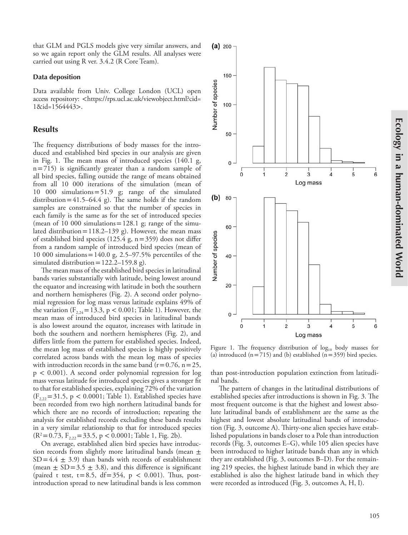that GLM and PGLS models give very similar answers, and so we again report only the GLM results. All analyses were carried out using R ver. 3.4.2 (R Core Team).

#### **Data deposition**

Data available from Univ. College London (UCL) open access repository: <https://rps.ucl.ac.uk/viewobject.html?cid= 1&id=1564443>.

#### **Results**

The frequency distributions of body masses for the introduced and established bird species in our analysis are given in Fig. 1. The mean mass of introduced species (140.1 g,  $n=715$ ) is significantly greater than a random sample of all bird species, falling outside the range of means obtained from all 10 000 iterations of the simulation (mean of 10 000 simulations=51.9 g; range of the simulated distribution =  $41.5-64.4$  g). The same holds if the random samples are constrained so that the number of species in each family is the same as for the set of introduced species (mean of 10 000 simulations = 128.1 g; range of the simulated distribution =  $118.2-139$  g). However, the mean mass of established bird species (125.4 g, n=359) does not differ from a random sample of introduced bird species (mean of 10 000 simulations=140.0 g, 2.5–97.5% percentiles of the simulated distribution =  $122.2-159.8$  g).

The mean mass of the established bird species in latitudinal bands varies substantially with latitude, being lowest around the equator and increasing with latitude in both the southern and northern hemispheres (Fig. 2). A second order polynomial regression for log mass versus latitude explains 49% of the variation ( $F_{2,24}$ =13.3, p < 0.001; Table 1). However, the mean mass of introduced bird species in latitudinal bands is also lowest around the equator, increases with latitude in both the southern and northern hemispheres (Fig. 2), and differs little from the pattern for established species. Indeed, the mean log mass of established species is highly positively correlated across bands with the mean log mass of species with introduction records in the same band ( $r=0.76$ ,  $n=25$ , p < 0.001). A second order polynomial regression for log mass versus latitude for introduced species gives a stronger fit to that for established species, explaining 72% of the variation  $(F_{2,22}=31.5, p < 0.0001;$  Table 1). Established species have been recorded from two high northern latitudinal bands for which there are no records of introduction; repeating the analysis for established records excluding these bands results in a very similar relationship to that for introduced species  $(R^2=0.73, F_{2,2}=33.5, p < 0.0001;$  Table 1, Fig. 2b).

On average, established alien bird species have introduction records from slightly more latitudinal bands (mean  $\pm$  $SD=4.4 \pm 3.9$ ) than bands with records of establishment (mean  $\pm$  SD=3.5  $\pm$  3.8), and this difference is significant (paired t test,  $t = 8.5$ ,  $df = 354$ ,  $p < 0.001$ ). Thus, postintroduction spread to new latitudinal bands is less common



Figure 1. The frequency distribution of  $log_{10}$  body masses for (a) introduced  $(n=715)$  and (b) established  $(n=359)$  bird species.

than post-introduction population extinction from latitudinal bands.

The pattern of changes in the latitudinal distributions of established species after introductions is shown in Fig. 3. The most frequent outcome is that the highest and lowest absolute latitudinal bands of establishment are the same as the highest and lowest absolute latitudinal bands of introduction (Fig. 3, outcome A). Thirty-one alien species have established populations in bands closer to a Pole than introduction records (Fig. 3, outcomes E–G), while 105 alien species have been introduced to higher latitude bands than any in which they are established (Fig. 3, outcomes B–D). For the remaining 219 species, the highest latitude band in which they are established is also the highest latitude band in which they were recorded as introduced (Fig. 3, outcomes A, H, I).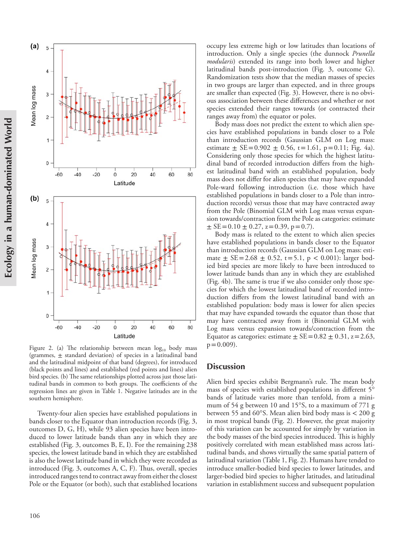

Figure 2. (a) The relationship between mean  $log_{10}$  body mass (grammes,  $\pm$  standard deviation) of species in a latitudinal band and the latitudinal midpoint of that band (degrees), for introduced (black points and lines) and established (red points and lines) alien bird species. (b) The same relationships plotted across just those latitudinal bands in common to both groups. The coefficients of the regression lines are given in Table 1. Negative latitudes are in the southern hemisphere.

Twenty-four alien species have established populations in bands closer to the Equator than introduction records (Fig. 3, outcomes D, G, H), while 93 alien species have been introduced to lower latitude bands than any in which they are established (Fig. 3, outcomes B, E, I). For the remaining 238 species, the lowest latitude band in which they are established is also the lowest latitude band in which they were recorded as introduced (Fig. 3, outcomes A, C, F). Thus, overall, species introduced ranges tend to contract away from either the closest Pole or the Equator (or both), such that established locations

occupy less extreme high or low latitudes than locations of introduction. Only a single species (the dunnock *Prunella modularis*) extended its range into both lower and higher latitudinal bands post-introduction (Fig. 3, outcome G). Randomization tests show that the median masses of species in two groups are larger than expected, and in three groups are smaller than expected (Fig. 3). However, there is no obvious association between these differences and whether or not species extended their ranges towards (or contracted their ranges away from) the equator or poles.

Body mass does not predict the extent to which alien species have established populations in bands closer to a Pole than introduction records (Gaussian GLM on Log mass: estimate  $\pm$  SE = 0.902  $\pm$  0.56, t = 1.61, p = 0.11; Fig. 4a). Considering only those species for which the highest latitudinal band of recorded introduction differs from the highest latitudinal band with an established population, body mass does not differ for alien species that may have expanded Pole-ward following introduction (i.e. those which have established populations in bands closer to a Pole than introduction records) versus those that may have contracted away from the Pole (Binomial GLM with Log mass versus expansion towards/contraction from the Pole as categories: estimate  $\pm$  SE = 0.10  $\pm$  0.27, z = 0.39, p = 0.7).

Body mass is related to the extent to which alien species have established populations in bands closer to the Equator than introduction records (Gaussian GLM on Log mass: estimate  $\pm$  SE=2.68  $\pm$  0.52, t=5.1, p < 0.001): larger bodied bird species are more likely to have been introduced to lower latitude bands than any in which they are established (Fig. 4b). The same is true if we also consider only those species for which the lowest latitudinal band of recorded introduction differs from the lowest latitudinal band with an established population: body mass is lower for alien species that may have expanded towards the equator than those that may have contracted away from it (Binomial GLM with Log mass versus expansion towards/contraction from the Equator as categories: estimate  $\pm$  SE = 0.82  $\pm$  0.31, z = 2.63,  $p = 0.009$ ).

#### **Discussion**

Alien bird species exhibit Bergmann's rule. The mean body mass of species with established populations in different 5° bands of latitude varies more than tenfold, from a minimum of 54 g between 10 and 15°S, to a maximum of 771 g between 55 and 60°S. Mean alien bird body mass is < 200 g in most tropical bands (Fig. 2). However, the great majority of this variation can be accounted for simply by variation in the body masses of the bird species introduced. This is highly positively correlated with mean established mass across latitudinal bands, and shows virtually the same spatial pattern of latitudinal variation (Table 1, Fig. 2). Humans have tended to introduce smaller-bodied bird species to lower latitudes, and larger-bodied bird species to higher latitudes, and latitudinal variation in establishment success and subsequent population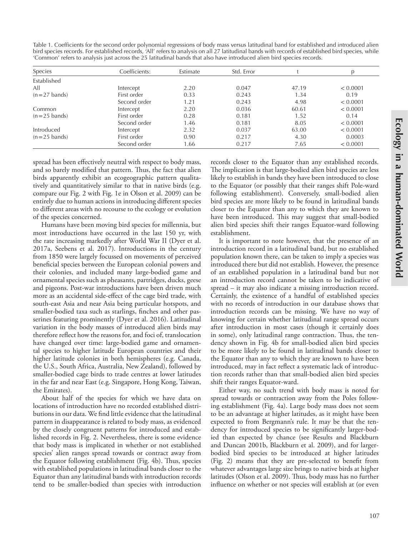| Table 1. Coefficients for the second order polynomial regressions of body mass versus latitudinal band for established and introduced alien         |  |
|-----------------------------------------------------------------------------------------------------------------------------------------------------|--|
| bird species records. For established records, 'All' refers to analysis on all 27 latitudinal bands with records of established bird species, while |  |
| 'Common' refers to analysis just across the 25 latitudinal bands that also have introduced alien bird species records.                              |  |

| Species        | Coefficients: | Estimate | Std. Error |       |          |
|----------------|---------------|----------|------------|-------|----------|
| Established    |               |          |            |       |          |
| All            | Intercept     | 2.20     | 0.047      | 47.19 | < 0.0001 |
| $(n=27$ bands) | First order   | 0.33     | 0.243      | 1.34  | 0.19     |
|                | Second order  | 1.21     | 0.243      | 4.98  | < 0.0001 |
| Common         | Intercept     | 2.20     | 0.036      | 60.61 | < 0.0001 |
| $(n=25$ bands) | First order   | 0.28     | 0.181      | 1.52  | 0.14     |
|                | Second order  | 1.46     | 0.181      | 8.05  | < 0.0001 |
| Introduced     | Intercept     | 2.32     | 0.037      | 63.00 | < 0.0001 |
| $(n=25$ bands) | First order   | 0.90     | 0.217      | 4.30  | 0.0003   |
|                | Second order  | 1.66     | 0.217      | 7.65  | < 0.0001 |

spread has been effectively neutral with respect to body mass, and so barely modified that pattern. Thus, the fact that alien birds apparently exhibit an ecogeographic pattern qualitatively and quantitatively similar to that in native birds (e.g. compare our Fig. 2 with Fig. 1e in Olson et al. 2009) can be entirely due to human actions in introducing different species to different areas with no recourse to the ecology or evolution of the species concerned.

Humans have been moving bird species for millennia, but most introductions have occurred in the last 150 yr, with the rate increasing markedly after World War II (Dyer et al. 2017a, Seebens et al. 2017). Introductions in the century from 1850 were largely focussed on movements of perceived beneficial species between the European colonial powers and their colonies, and included many large-bodied game and ornamental species such as pheasants, partridges, ducks, geese and pigeons. Post-war introductions have been driven much more as an accidental side-effect of the cage bird trade, with south-east Asia and near Asia being particular hotspots, and smaller-bodied taxa such as starlings, finches and other passerines featuring prominently (Dyer et al. 2016). Latitudinal variation in the body masses of introduced alien birds may therefore reflect how the reasons for, and foci of, translocation have changed over time: large-bodied game and ornamental species to higher latitude European countries and their higher latitude colonies in both hemispheres (e.g. Canada, the U.S., South Africa, Australia, New Zealand), followed by smaller-bodied cage birds to trade centres at lower latitudes in the far and near East (e.g. Singapore, Hong Kong, Taiwan, the Emirates).

About half of the species for which we have data on locations of introduction have no recorded established distributions in our data. We find little evidence that the latitudinal pattern in disappearance is related to body mass, as evidenced by the closely congruent patterns for introduced and established records in Fig. 2. Nevertheless, there is some evidence that body mass is implicated in whether or not established species' alien ranges spread towards or contract away from the Equator following establishment (Fig. 4b). Thus, species with established populations in latitudinal bands closer to the Equator than any latitudinal bands with introduction records tend to be smaller-bodied than species with introduction

records closer to the Equator than any established records. The implication is that large-bodied alien bird species are less likely to establish in bands they have been introduced to close to the Equator (or possibly that their ranges shift Pole-ward following establishment). Conversely, small-bodied alien bird species are more likely to be found in latitudinal bands closer to the Equator than any to which they are known to have been introduced. This may suggest that small-bodied alien bird species shift their ranges Equator-ward following establishment.

It is important to note however, that the presence of an introduction record in a latitudinal band, but no established population known there, can be taken to imply a species was introduced there but did not establish. However, the presence of an established population in a latitudinal band but not an introduction record cannot be taken to be indicative of spread – it may also indicate a missing introduction record. Certainly, the existence of a handful of established species with no records of introduction in our database shows that introduction records can be missing. We have no way of knowing for certain whether latitudinal range spread occurs after introduction in most cases (though it certainly does in some), only latitudinal range contraction. Thus, the tendency shown in Fig. 4b for small-bodied alien bird species to be more likely to be found in latitudinal bands closer to the Equator than any to which they are known to have been introduced, may in fact reflect a systematic lack of introduction records rather than that small-bodied alien bird species shift their ranges Equator-ward.

Either way, no such trend with body mass is noted for spread towards or contraction away from the Poles following establishment (Fig. 4a). Large body mass does not seem to be an advantage at higher latitudes, as it might have been expected to from Bergmann's rule. It may be that the tendency for introduced species to be significantly larger-bodied than expected by chance (see Results and Blackburn and Duncan 2001b, Blackburn et al. 2009), and for largerbodied bird species to be introduced at higher latitudes (Fig. 2) means that they are pre-selected to benefit from whatever advantages large size brings to native birds at higher latitudes (Olson et al. 2009). Thus, body mass has no further influence on whether or not species will establish at (or even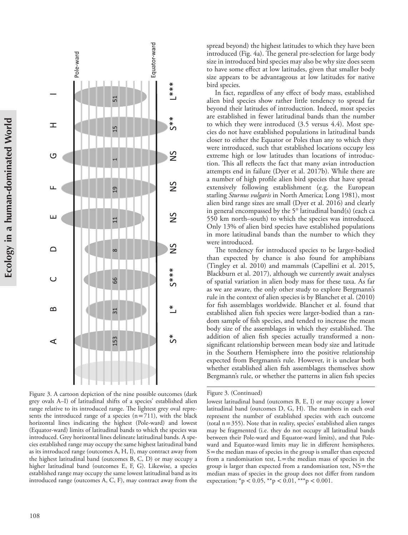

 $\overline{a}$ 

 $\ast$ 

 $\zeta$ 

 $\frac{5}{2}$ 

 $\frac{S}{S}$ 

 $\frac{5}{2}$ 

 $\frac{S}{S}$ 

 $*$ 

 $\zeta$ 

 $\ast$ 

 $\zeta$ 

Figure 3. A cartoon depiction of the nine possible outcomes (dark grey ovals A–I) of latitudinal shifts of a species' established alien range relative to its introduced range. The lightest grey oval represents the introduced range of a species  $(n=711)$ , with the black horizontal lines indicating the highest (Pole-ward) and lowest (Equator-ward) limits of latitudinal bands to which the species was introduced. Grey horizontal lines delineate latitudinal bands. A species established range may occupy the same highest latitudinal band as its introduced range (outcomes A, H, I), may contract away from the highest latitudinal band (outcomes B, C, D) or may occupy a higher latitudinal band (outcomes E, F, G). Likewise, a species established range may occupy the same lowest latitudinal band as its introduced range (outcomes A, C, F), may contract away from the

spread beyond) the highest latitudes to which they have been introduced (Fig. 4a). The general pre-selection for large body size in introduced bird species may also be why size does seem to have some effect at low latitudes, given that smaller body size appears to be advantageous at low latitudes for native bird species.

In fact, regardless of any effect of body mass, established alien bird species show rather little tendency to spread far beyond their latitudes of introduction. Indeed, most species are established in fewer latitudinal bands than the number to which they were introduced (3.5 versus 4.4). Most species do not have established populations in latitudinal bands closer to either the Equator or Poles than any to which they were introduced, such that established locations occupy less extreme high or low latitudes than locations of introduction. This all reflects the fact that many avian introduction attempts end in failure (Dyer et al. 2017b). While there are a number of high profile alien bird species that have spread extensively following establishment (e.g. the European starling *Sturnus vulgaris* in North America; Long 1981), most alien bird range sizes are small (Dyer et al. 2016) and clearly in general encompassed by the 5° latitudinal band(s) (each ca 550 km north–south) to which the species was introduced. Only 13% of alien bird species have established populations in more latitudinal bands than the number to which they were introduced.

The tendency for introduced species to be larger-bodied than expected by chance is also found for amphibians (Tingley et al. 2010) and mammals (Capellini et al. 2015, Blackburn et al. 2017), although we currently await analyses of spatial variation in alien body mass for these taxa. As far as we are aware, the only other study to explore Bergmann's rule in the context of alien species is by Blanchet et al. (2010) for fish assemblages worldwide. Blanchet et al. found that established alien fish species were larger-bodied than a random sample of fish species, and tended to increase the mean body size of the assemblages in which they established. The addition of alien fish species actually transformed a nonsignificant relationship between mean body size and latitude in the Southern Hemisphere into the positive relationship expected from Bergmann's rule. However, it is unclear both whether established alien fish assemblages themselves show Bergmann's rule, or whether the patterns in alien fish species

108

Figure 3. (Continued)

lowest latitudinal band (outcomes B, E, I) or may occupy a lower latitudinal band (outcomes D, G, H). The numbers in each oval represent the number of established species with each outcome (total n=355). Note that in reality, species' established alien ranges may be fragmented (i.e. they do not occupy all latitudinal bands between their Pole-ward and Equator-ward limits), and that Poleward and Equator-ward limits may lie in different hemispheres. S=the median mass of species in the group is smaller than expected from a randomisation test,  $L$  = the median mass of species in the group is larger than expected from a randomisation test, NS=the median mass of species in the group does not differ from random expectation;  ${}^*p < 0.05$ ,  ${}^{**}p < 0.01$ ,  ${}^{***}p < 0.001$ .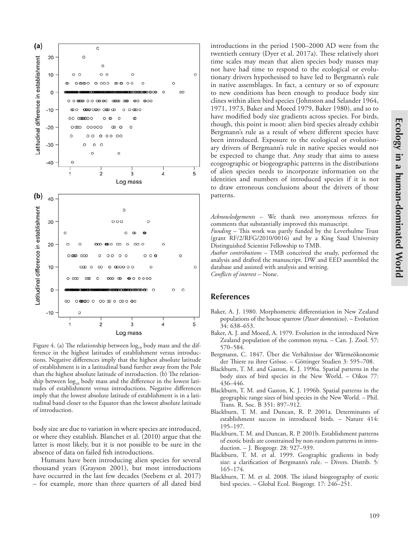

Figure 4. (a) The relationship between  $log_{10}$  body mass and the difference in the highest latitudes of establishment versus introductions. Negative differences imply that the highest absolute latitude of establishment is in a latitudinal band further away from the Pole than the highest absolute latitude of introduction. (b) The relationship between  $log_{10}$  body mass and the difference in the lowest latitudes of establishment versus introductions. Negative differences imply that the lowest absolute latitude of establishment is in a latitudinal band closer to the Equator than the lowest absolute latitude of introduction.

body size are due to variation in where species are introduced, or where they establish. Blanchet et al. (2010) argue that the latter is most likely, but it is not possible to be sure in the absence of data on failed fish introductions.

Humans have been introducing alien species for several thousand years (Grayson 2001), but most introductions have occurred in the last few decades (Seebens et al. 2017) – for example, more than three quarters of all dated bird introductions in the period 1500–2000 AD were from the twentieth century (Dyer et al. 2017a). These relatively short time scales may mean that alien species body masses may not have had time to respond to the ecological or evolutionary drivers hypothesised to have led to Bergmann's rule in native assemblages. In fact, a century or so of exposure to new conditions has been enough to produce body size clines within alien bird species (Johnston and Selander 1964, 1971, 1973, Baker and Moeed 1979, Baker 1980), and so to have modified body size gradients across species. For birds, though, this point is moot: alien bird species already exhibit Bergmann's rule as a result of where different species have been introduced. Exposure to the ecological or evolutionary drivers of Bergmann's rule in native species would not be expected to change that. Any study that aims to assess ecogeographic or biogeographic patterns in the distributions of alien species needs to incorporate information on the identities and numbers of introduced species if it is not to draw erroneous conclusions about the drivers of those patterns.

*Acknowledgements* – We thank two anonymous referees for comments that substantially improved this manuscript.

*Funding* – This work was partly funded by the Leverhulme Trust (grant RF/2/RFG/2010/0016) and by a King Saud University Distinguished Scientist Fellowship to TMB.

*Author contributions* – TMB conceived the study, performed the analysis and drafted the manuscript. DW and EED assembled the database and assisted with analysis and writing. *Conflicts of interest* – None.

#### **References**

- Baker, A. J. 1980. Morphometric differentiation in New Zealand populations of the house sparrow (*Passer domesticus*). – Evolution 34: 638–653.
- Baker, A. J. and Moeed, A. 1979. Evolution in the introduced New Zealand population of the common myna. – Can. J. Zool. 57: 570–584.
- Bergmann, C. 1847. Über die Verhältnisse der Wärmeökonomie der Thiere zu ihrer Grösse. – Göttinger Studien 3: 595–708.
- Blackburn, T. M. and Gaston, K. J. 1996a. Spatial patterns in the body sizes of bird species in the New World. – Oikos 77: 436–446.
- Blackburn, T. M. and Gaston, K. J. 1996b. Spatial patterns in the geographic range sizes of bird species in the New World. – Phil. Trans. R. Soc. B 351: 897–912.
- Blackburn, T. M. and Duncan, R. P. 2001a. Determinants of establishment success in introduced birds. – Nature 414: 195–197.
- Blackburn, T. M. and Duncan, R. P. 2001b. Establishment patterns of exotic birds are constrained by non-random patterns in introduction. – J. Biogeogr. 28: 927–939.
- Blackburn, T. M. et al. 1999. Geographic gradients in body size: a clarification of Bergmann's rule. – Divers. Distrib. 5: 165–174.
- Blackburn, T. M. et al. 2008. The island biogeography of exotic bird species. – Global Ecol. Biogeogr. 17: 246–251.